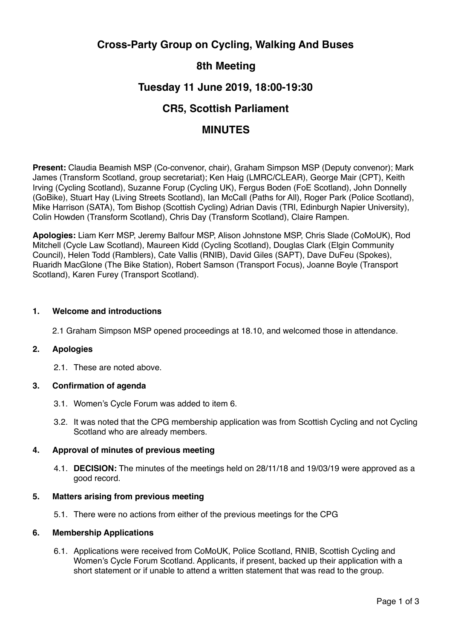# **Cross-Party Group on Cycling, Walking And Buses**

# **8th Meeting**

# **Tuesday 11 June 2019, 18:00-19:30**

# **CR5, Scottish Parliament**

## **MINUTES**

**Present:** Claudia Beamish MSP (Co-convenor, chair), Graham Simpson MSP (Deputy convenor); Mark James (Transform Scotland, group secretariat); Ken Haig (LMRC/CLEAR), George Mair (CPT), Keith Irving (Cycling Scotland), Suzanne Forup (Cycling UK), Fergus Boden (FoE Scotland), John Donnelly (GoBike), Stuart Hay (Living Streets Scotland), Ian McCall (Paths for All), Roger Park (Police Scotland), Mike Harrison (SATA), Tom Bishop (Scottish Cycling) Adrian Davis (TRI, Edinburgh Napier University), Colin Howden (Transform Scotland), Chris Day (Transform Scotland), Claire Rampen.

**Apologies:** Liam Kerr MSP, Jeremy Balfour MSP, Alison Johnstone MSP, Chris Slade (CoMoUK), Rod Mitchell (Cycle Law Scotland), Maureen Kidd (Cycling Scotland), Douglas Clark (Elgin Community Council), Helen Todd (Ramblers), Cate Vallis (RNIB), David Giles (SAPT), Dave DuFeu (Spokes), Ruaridh MacGlone (The Bike Station), Robert Samson (Transport Focus), Joanne Boyle (Transport Scotland), Karen Furey (Transport Scotland).

### **1. Welcome and introductions**

2.1 Graham Simpson MSP opened proceedings at 18.10, and welcomed those in attendance.

#### **2. Apologies**

2.1. These are noted above.

## **3. Confirmation of agenda**

- 3.1. Women's Cycle Forum was added to item 6.
- 3.2. It was noted that the CPG membership application was from Scottish Cycling and not Cycling Scotland who are already members.

## **4. Approval of minutes of previous meeting**

4.1. **DECISION:** The minutes of the meetings held on 28/11/18 and 19/03/19 were approved as a good record.

## **5. Matters arising from previous meeting**

5.1. There were no actions from either of the previous meetings for the CPG

#### **6. Membership Applications**

6.1. Applications were received from CoMoUK, Police Scotland, RNIB, Scottish Cycling and Women's Cycle Forum Scotland. Applicants, if present, backed up their application with a short statement or if unable to attend a written statement that was read to the group.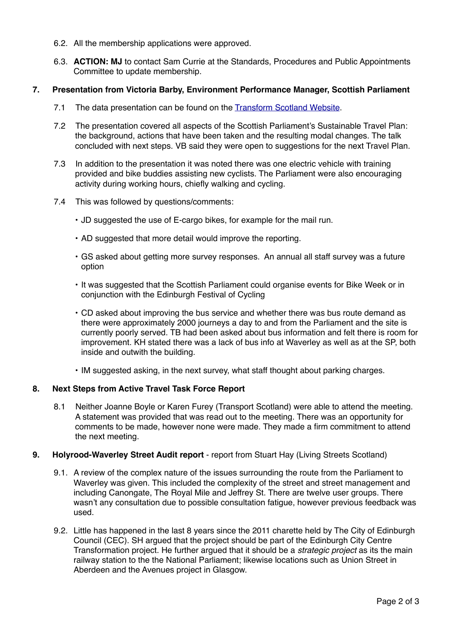- 6.2. All the membership applications were approved.
- 6.3. **ACTION: MJ** to contact Sam Currie at the Standards, Procedures and Public Appointments Committee to update membership.

### **7. Presentation from Victoria Barby, Environment Performance Manager, Scottish Parliament**

- 7.1 The data presentation can be found on the [Transform Scotland Website.](http://transformscotland.org.uk/scottish-parliament-cross-party-group-on-cycling-walking-and-buses/)
- 7.2 The presentation covered all aspects of the Scottish Parliament's Sustainable Travel Plan: the background, actions that have been taken and the resulting modal changes. The talk concluded with next steps. VB said they were open to suggestions for the next Travel Plan.
- 7.3 In addition to the presentation it was noted there was one electric vehicle with training provided and bike buddies assisting new cyclists. The Parliament were also encouraging activity during working hours, chiefly walking and cycling.
- 7.4 This was followed by questions/comments:
	- JD suggested the use of E-cargo bikes, for example for the mail run.
	- AD suggested that more detail would improve the reporting.
	- GS asked about getting more survey responses. An annual all staff survey was a future option
	- It was suggested that the Scottish Parliament could organise events for Bike Week or in conjunction with the Edinburgh Festival of Cycling
	- CD asked about improving the bus service and whether there was bus route demand as there were approximately 2000 journeys a day to and from the Parliament and the site is currently poorly served. TB had been asked about bus information and felt there is room for improvement. KH stated there was a lack of bus info at Waverley as well as at the SP, both inside and outwith the building.
	- IM suggested asking, in the next survey, what staff thought about parking charges.

## **8. Next Steps from Active Travel Task Force Report**

8.1 Neither Joanne Boyle or Karen Furey (Transport Scotland) were able to attend the meeting. A statement was provided that was read out to the meeting. There was an opportunity for comments to be made, however none were made. They made a firm commitment to attend the next meeting.

#### **9. Holyrood-Waverley Street Audit report** - report from Stuart Hay (Living Streets Scotland)

- 9.1. A review of the complex nature of the issues surrounding the route from the Parliament to Waverley was given. This included the complexity of the street and street management and including Canongate, The Royal Mile and Jeffrey St. There are twelve user groups. There wasn't any consultation due to possible consultation fatigue, however previous feedback was used.
- 9.2. Little has happened in the last 8 years since the 2011 charette held by The City of Edinburgh Council (CEC). SH argued that the project should be part of the Edinburgh City Centre Transformation project. He further argued that it should be a *strategic project* as its the main railway station to the the National Parliament; likewise locations such as Union Street in Aberdeen and the Avenues project in Glasgow.